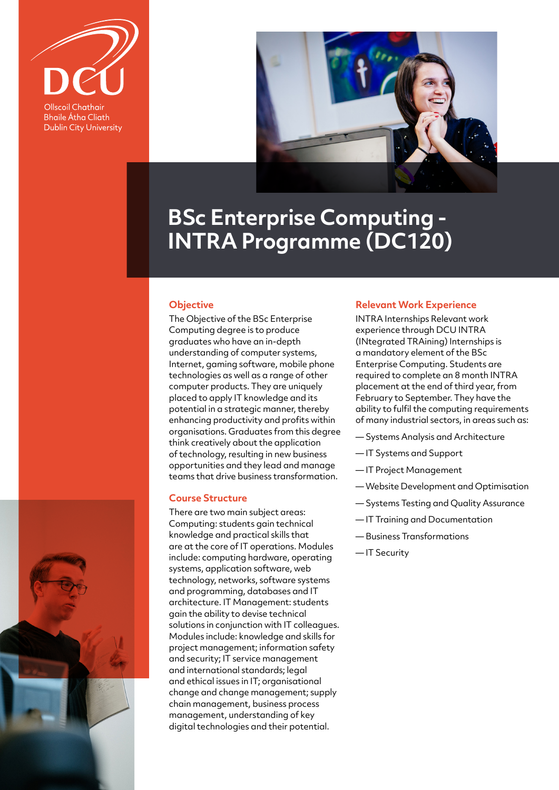

**Bhaile Átha Cliath Dublin City University** 



# **BSc Enterprise Computing - INTRA Programme (DC120)**

### **Objective**

The Objective of the BSc Enterprise Computing degree is to produce graduates who have an in-depth understanding of computer systems, Internet, gaming software, mobile phone technologies as well as a range of other computer products. They are uniquely placed to apply IT knowledge and its potential in a strategic manner, thereby enhancing productivity and profits within organisations. Graduates from this degree think creatively about the application of technology, resulting in new business opportunities and they lead and manage teams that drive business transformation.

#### **Course Structure**

There are two main subject areas: Computing: students gain technical knowledge and practical skills that are at the core of IT operations. Modules include: computing hardware, operating systems, application software, web technology, networks, software systems and programming, databases and IT architecture. IT Management: students gain the ability to devise technical solutions in conjunction with IT colleagues. Modules include: knowledge and skills for project management; information safety and security; IT service management and international standards; legal and ethical issues in IT; organisational change and change management; supply chain management, business process management, understanding of key digital technologies and their potential.

## **Relevant Work Experience**

INTRA Internships Relevant work experience through DCU INTRA (INtegrated TRAining) Internships is a mandatory element of the BSc Enterprise Computing. Students are required to complete an 8 month INTRA placement at the end of third year, from February to September. They have the ability to fulfil the computing requirements of many industrial sectors, in areas such as:

- Systems Analysis and Architecture
- IT Systems and Support
- IT Project Management
- Website Development and Optimisation
- Systems Testing and Quality Assurance
- IT Training and Documentation
- Business Transformations
- IT Security